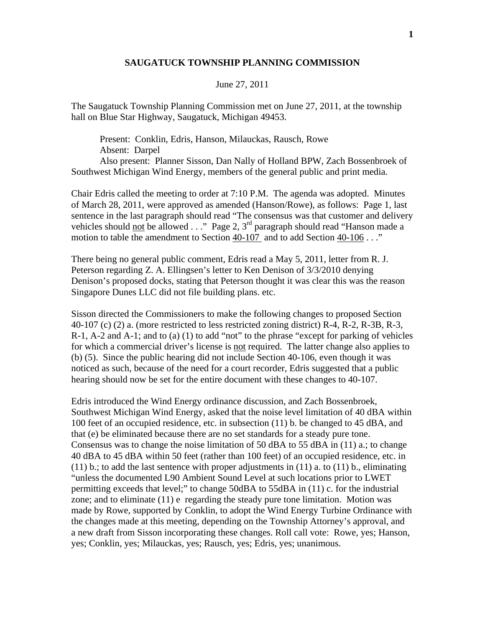## **SAUGATUCK TOWNSHIP PLANNING COMMISSION**

## June 27, 2011

The Saugatuck Township Planning Commission met on June 27, 2011, at the township hall on Blue Star Highway, Saugatuck, Michigan 49453.

 Present: Conklin, Edris, Hanson, Milauckas, Rausch, Rowe Absent: Darpel Also present: Planner Sisson, Dan Nally of Holland BPW, Zach Bossenbroek of Southwest Michigan Wind Energy, members of the general public and print media.

Chair Edris called the meeting to order at 7:10 P.M. The agenda was adopted. Minutes of March 28, 2011, were approved as amended (Hanson/Rowe), as follows: Page 1, last sentence in the last paragraph should read "The consensus was that customer and delivery vehicles should not be allowed  $\ldots$ " Page 2, 3<sup>rd</sup> paragraph should read "Hanson made a motion to table the amendment to Section 40-107 and to add Section 40-106 . . ."

There being no general public comment, Edris read a May 5, 2011, letter from R. J. Peterson regarding Z. A. Ellingsen's letter to Ken Denison of 3/3/2010 denying Denison's proposed docks, stating that Peterson thought it was clear this was the reason Singapore Dunes LLC did not file building plans. etc.

Sisson directed the Commissioners to make the following changes to proposed Section 40-107 (c) (2) a. (more restricted to less restricted zoning district) R-4, R-2, R-3B, R-3, R-1, A-2 and A-1; and to (a) (1) to add "not" to the phrase "except for parking of vehicles for which a commercial driver's license is not required. The latter change also applies to (b) (5). Since the public hearing did not include Section 40-106, even though it was noticed as such, because of the need for a court recorder, Edris suggested that a public hearing should now be set for the entire document with these changes to 40-107.

Edris introduced the Wind Energy ordinance discussion, and Zach Bossenbroek, Southwest Michigan Wind Energy, asked that the noise level limitation of 40 dBA within 100 feet of an occupied residence, etc. in subsection (11) b. be changed to 45 dBA, and that (e) be eliminated because there are no set standards for a steady pure tone. Consensus was to change the noise limitation of 50 dBA to 55 dBA in  $(11)$  a.; to change 40 dBA to 45 dBA within 50 feet (rather than 100 feet) of an occupied residence, etc. in  $(11)$  b.; to add the last sentence with proper adjustments in  $(11)$  a. to  $(11)$  b., eliminating "unless the documented L90 Ambient Sound Level at such locations prior to LWET permitting exceeds that level;" to change 50dBA to 55dBA in (11) c. for the industrial zone; and to eliminate (11) e regarding the steady pure tone limitation. Motion was made by Rowe, supported by Conklin, to adopt the Wind Energy Turbine Ordinance with the changes made at this meeting, depending on the Township Attorney's approval, and a new draft from Sisson incorporating these changes. Roll call vote: Rowe, yes; Hanson, yes; Conklin, yes; Milauckas, yes; Rausch, yes; Edris, yes; unanimous.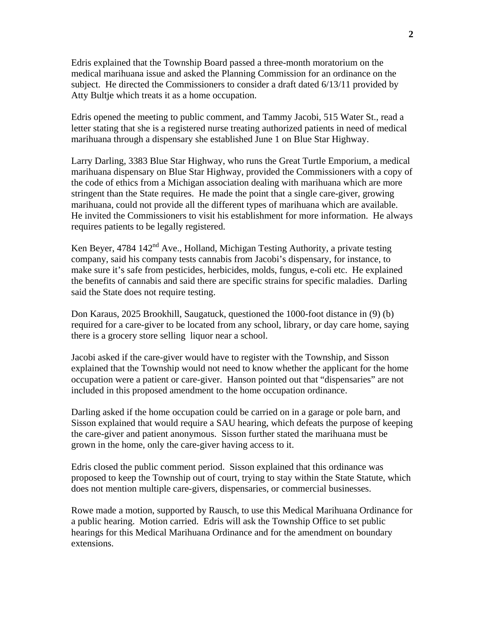Edris explained that the Township Board passed a three-month moratorium on the medical marihuana issue and asked the Planning Commission for an ordinance on the subject. He directed the Commissioners to consider a draft dated 6/13/11 provided by Atty Bultje which treats it as a home occupation.

Edris opened the meeting to public comment, and Tammy Jacobi, 515 Water St., read a letter stating that she is a registered nurse treating authorized patients in need of medical marihuana through a dispensary she established June 1 on Blue Star Highway.

Larry Darling, 3383 Blue Star Highway, who runs the Great Turtle Emporium, a medical marihuana dispensary on Blue Star Highway, provided the Commissioners with a copy of the code of ethics from a Michigan association dealing with marihuana which are more stringent than the State requires. He made the point that a single care-giver, growing marihuana, could not provide all the different types of marihuana which are available. He invited the Commissioners to visit his establishment for more information. He always requires patients to be legally registered.

Ken Beyer, 4784  $142<sup>nd</sup>$  Ave., Holland, Michigan Testing Authority, a private testing company, said his company tests cannabis from Jacobi's dispensary, for instance, to make sure it's safe from pesticides, herbicides, molds, fungus, e-coli etc. He explained the benefits of cannabis and said there are specific strains for specific maladies. Darling said the State does not require testing.

Don Karaus, 2025 Brookhill, Saugatuck, questioned the 1000-foot distance in (9) (b) required for a care-giver to be located from any school, library, or day care home, saying there is a grocery store selling liquor near a school.

Jacobi asked if the care-giver would have to register with the Township, and Sisson explained that the Township would not need to know whether the applicant for the home occupation were a patient or care-giver. Hanson pointed out that "dispensaries" are not included in this proposed amendment to the home occupation ordinance.

Darling asked if the home occupation could be carried on in a garage or pole barn, and Sisson explained that would require a SAU hearing, which defeats the purpose of keeping the care-giver and patient anonymous. Sisson further stated the marihuana must be grown in the home, only the care-giver having access to it.

Edris closed the public comment period. Sisson explained that this ordinance was proposed to keep the Township out of court, trying to stay within the State Statute, which does not mention multiple care-givers, dispensaries, or commercial businesses.

Rowe made a motion, supported by Rausch, to use this Medical Marihuana Ordinance for a public hearing. Motion carried. Edris will ask the Township Office to set public hearings for this Medical Marihuana Ordinance and for the amendment on boundary extensions.